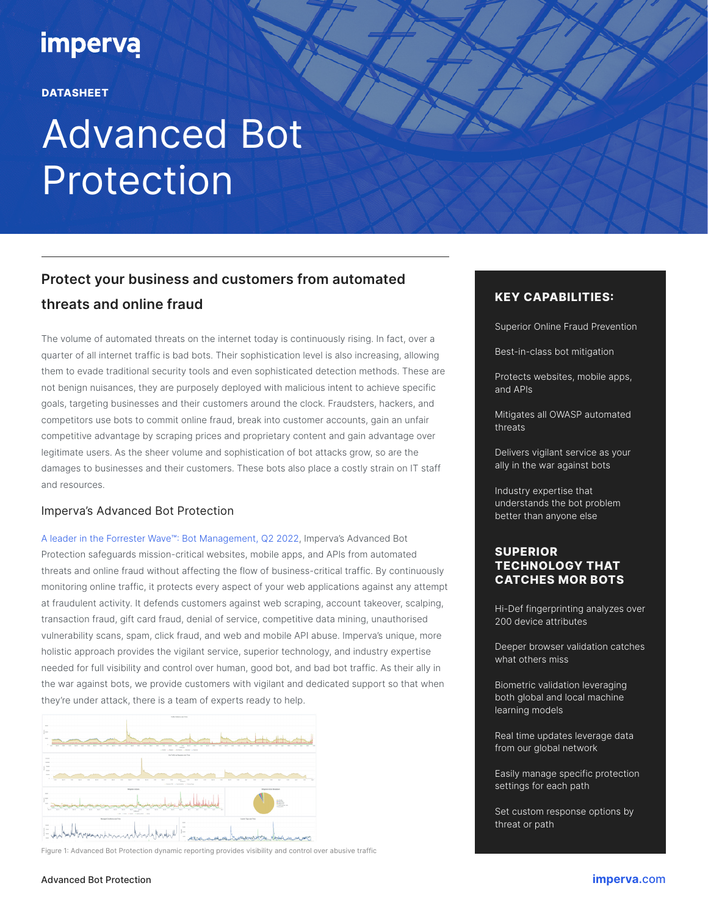## **imperva**

### **DATASHEET**

# Advanced Bot **Protection**

### **Protect your business and customers from automated threats and online fraud**

The volume of automated threats on the internet today is continuously rising. In fact, over a quarter of all internet traffic is bad bots. Their sophistication level is also increasing, allowing them to evade traditional security tools and even sophisticated detection methods. These are not benign nuisances, they are purposely deployed with malicious intent to achieve specific goals, targeting businesses and their customers around the clock. Fraudsters, hackers, and competitors use bots to commit online fraud, break into customer accounts, gain an unfair competitive advantage by scraping prices and proprietary content and gain advantage over legitimate users. As the sheer volume and sophistication of bot attacks grow, so are the damages to businesses and their customers. These bots also place a costly strain on IT staff and resources.

### Imperva's Advanced Bot Protection

[A leader in the Forrester Wave™: Bot Management, Q2 2022,](https://www.imperva.com/resources/resource-library/reports/the-forrester-wave-bot-management/) Imperva's Advanced Bot Protection safeguards mission-critical websites, mobile apps, and APIs from automated threats and online fraud without affecting the flow of business-critical traffic. By continuously monitoring online traffic, it protects every aspect of your web applications against any attempt at fraudulent activity. It defends customers against web scraping, account takeover, scalping, transaction fraud, gift card fraud, denial of service, competitive data mining, unauthorised vulnerability scans, spam, click fraud, and web and mobile API abuse. Imperva's unique, more holistic approach provides the vigilant service, superior technology, and industry expertise needed for full visibility and control over human, good bot, and bad bot traffic. As their ally in the war against bots, we provide customers with vigilant and dedicated support so that when they're under attack, there is a team of experts ready to help.



Figure 1: Advanced Bot Protection dynamic reporting provides visibility and control over abusive traffic

### **KEY CAPABILITIES:**

Superior Online Fraud Prevention

Best-in-class bot mitigation

Protects websites, mobile apps, and APIs

Mitigates all OWASP automated threats

Delivers vigilant service as your ally in the war against bots

Industry expertise that understands the bot problem better than anyone else

### **SUPERIOR TECHNOLOGY THAT CATCHES MOR BOTS**

Hi-Def fingerprinting analyzes over 200 device attributes

Deeper browser validation catches what others miss

Biometric validation leveraging both global and local machine learning models

Real time updates leverage data from our global network

Easily manage specific protection settings for each path

Set custom response options by threat or path